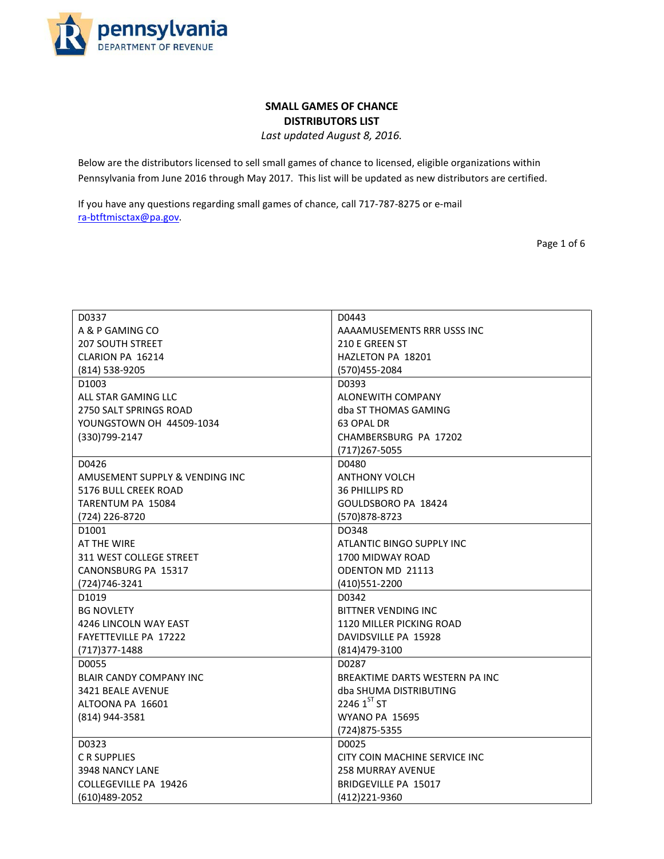

## **SMALL GAMES OF CHANCE DISTRIBUTORS LIST**

*Last updated August 8, 2016.*

Below are the distributors licensed to sell small games of chance to licensed, eligible organizations within Pennsylvania from June 2016 through May 2017. This list will be updated as new distributors are certified.

If you have any questions regarding small games of chance, call 717-787-8275 or e-mail [ra-btftmisctax@pa.gov.](mailto:ra-btftmisctax@pa.gov)

Page 1 of 6

| D0337                          | D0443                          |
|--------------------------------|--------------------------------|
| A & P GAMING CO                | AAAAMUSEMENTS RRR USSS INC     |
| <b>207 SOUTH STREET</b>        | 210 E GREEN ST                 |
| CLARION PA 16214               | HAZLETON PA 18201              |
| (814) 538-9205                 | (570)455-2084                  |
| D1003                          | D0393                          |
| ALL STAR GAMING LLC            | ALONEWITH COMPANY              |
| 2750 SALT SPRINGS ROAD         | dba ST THOMAS GAMING           |
| YOUNGSTOWN OH 44509-1034       | 63 OPAL DR                     |
| (330)799-2147                  | CHAMBERSBURG PA 17202          |
|                                |                                |
|                                | $(717)267 - 5055$              |
| D0426                          | D0480                          |
| AMUSEMENT SUPPLY & VENDING INC | <b>ANTHONY VOLCH</b>           |
| 5176 BULL CREEK ROAD           | <b>36 PHILLIPS RD</b>          |
| TARENTUM PA 15084              | GOULDSBORO PA 18424            |
| (724) 226-8720                 | (570) 878-8723                 |
| D1001                          | DO348                          |
| AT THE WIRE                    | ATLANTIC BINGO SUPPLY INC      |
| 311 WEST COLLEGE STREET        | 1700 MIDWAY ROAD               |
| CANONSBURG PA 15317            | <b>ODENTON MD 21113</b>        |
| (724)746-3241                  | (410) 551 - 2200               |
| D1019                          | D0342                          |
| <b>BG NOVLETY</b>              | BITTNER VENDING INC            |
| 4246 LINCOLN WAY EAST          | 1120 MILLER PICKING ROAD       |
| <b>FAYETTEVILLE PA 17222</b>   | DAVIDSVILLE PA 15928           |
| (717) 377-1488                 | (814) 479-3100                 |
| D0055                          | D0287                          |
| <b>BLAIR CANDY COMPANY INC</b> | BREAKTIME DARTS WESTERN PA INC |
| 3421 BEALE AVENUE              | dba SHUMA DISTRIBUTING         |
| ALTOONA PA 16601               | 2246 $1^{ST}$ ST               |
| (814) 944-3581                 | <b>WYANO PA 15695</b>          |
|                                | (724) 875-5355                 |
| D0323                          | D0025                          |
| C R SUPPLIES                   | CITY COIN MACHINE SERVICE INC  |
| 3948 NANCY LANE                | <b>258 MURRAY AVENUE</b>       |
| <b>COLLEGEVILLE PA 19426</b>   | BRIDGEVILLE PA 15017           |
| (610)489-2052                  | (412)221-9360                  |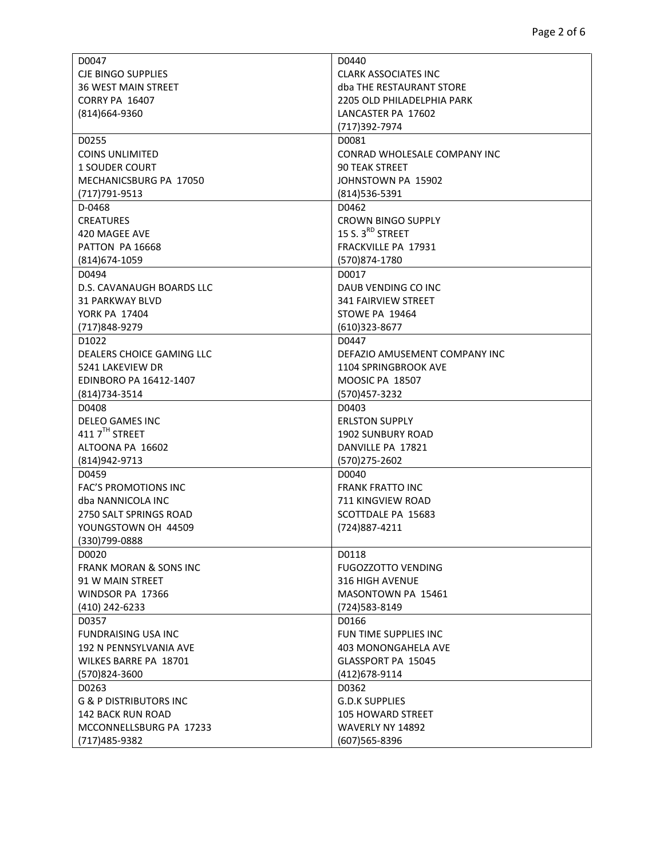| D0047                             | D0440                         |
|-----------------------------------|-------------------------------|
| <b>CJE BINGO SUPPLIES</b>         | <b>CLARK ASSOCIATES INC</b>   |
| <b>36 WEST MAIN STREET</b>        | dba THE RESTAURANT STORE      |
| <b>CORRY PA 16407</b>             | 2205 OLD PHILADELPHIA PARK    |
| (814)664-9360                     | LANCASTER PA 17602            |
|                                   | (717)392-7974                 |
| D0255                             | D0081                         |
| <b>COINS UNLIMITED</b>            | CONRAD WHOLESALE COMPANY INC  |
| <b>1 SOUDER COURT</b>             | <b>90 TEAK STREET</b>         |
| MECHANICSBURG PA 17050            | JOHNSTOWN PA 15902            |
| (717) 791-9513                    | (814) 536-5391                |
| D-0468                            | D0462                         |
| <b>CREATURES</b>                  | <b>CROWN BINGO SUPPLY</b>     |
| 420 MAGEE AVE                     | 15 S. 3 <sup>RD</sup> STREET  |
| PATTON PA 16668                   | FRACKVILLE PA 17931           |
| (814) 674-1059                    | (570)874-1780                 |
| D0494                             | D0017                         |
| D.S. CAVANAUGH BOARDS LLC         | DAUB VENDING CO INC           |
| 31 PARKWAY BLVD                   | 341 FAIRVIEW STREET           |
| YORK PA 17404                     | STOWE PA 19464                |
| (717)848-9279                     | $(610)323 - 8677$             |
| D <sub>1022</sub>                 | D0447                         |
| DEALERS CHOICE GAMING LLC         | DEFAZIO AMUSEMENT COMPANY INC |
| 5241 LAKEVIEW DR                  | 1104 SPRINGBROOK AVE          |
| EDINBORO PA 16412-1407            | <b>MOOSIC PA 18507</b>        |
| (814) 734-3514                    | (570) 457-3232                |
| D0408                             | D0403                         |
| <b>DELEO GAMES INC</b>            | <b>ERLSTON SUPPLY</b>         |
| 411 7TH STREET                    | <b>1902 SUNBURY ROAD</b>      |
|                                   |                               |
| ALTOONA PA 16602                  | DANVILLE PA 17821             |
| (814) 942-9713                    | (570) 275-2602                |
| D0459                             | D0040                         |
| FAC'S PROMOTIONS INC              | <b>FRANK FRATTO INC</b>       |
| dba NANNICOLA INC                 | 711 KINGVIEW ROAD             |
| 2750 SALT SPRINGS ROAD            | SCOTTDALE PA 15683            |
| YOUNGSTOWN OH 44509               | (724) 887-4211                |
| (330)799-0888                     |                               |
| D0020                             | D0118                         |
| <b>FRANK MORAN &amp; SONS INC</b> | <b>FUGOZZOTTO VENDING</b>     |
| 91 W MAIN STREET                  | 316 HIGH AVENUE               |
| WINDSOR PA 17366                  | MASONTOWN PA 15461            |
| (410) 242-6233                    | (724) 583 - 8149              |
| D0357                             | D0166                         |
| <b>FUNDRAISING USA INC</b>        | FUN TIME SUPPLIES INC         |
| 192 N PENNSYLVANIA AVE            | 403 MONONGAHELA AVE           |
| WILKES BARRE PA 18701             | GLASSPORT PA 15045            |
| (570)824-3600                     | (412) 678-9114                |
| D0263                             | D0362                         |
| <b>G &amp; P DISTRIBUTORS INC</b> | <b>G.D.K SUPPLIES</b>         |
| <b>142 BACK RUN ROAD</b>          | <b>105 HOWARD STREET</b>      |
| MCCONNELLSBURG PA 17233           | WAVERLY NY 14892              |
| (717)485-9382                     | (607) 565-8396                |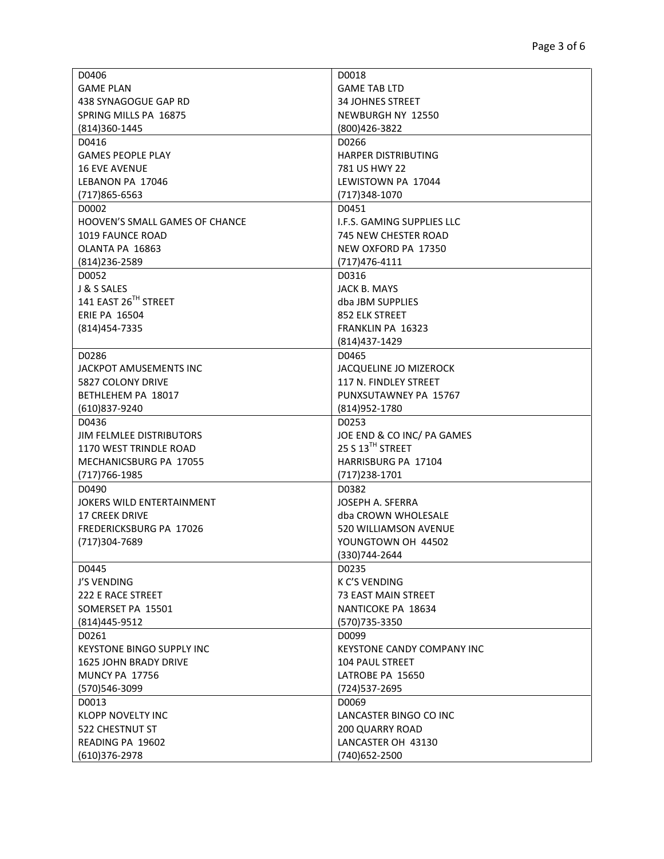| D0406                            | D0018                             |
|----------------------------------|-----------------------------------|
| <b>GAME PLAN</b>                 | <b>GAME TAB LTD</b>               |
| 438 SYNAGOGUE GAP RD             | 34 JOHNES STREET                  |
| SPRING MILLS PA 16875            | NEWBURGH NY 12550                 |
| (814)360-1445                    | (800)426-3822                     |
| D0416                            | D0266                             |
| <b>GAMES PEOPLE PLAY</b>         | <b>HARPER DISTRIBUTING</b>        |
| <b>16 EVE AVENUE</b>             | 781 US HWY 22                     |
| LEBANON PA 17046                 | LEWISTOWN PA 17044                |
| $(717)865 - 6563$                | (717) 348-1070                    |
| D0002                            | D0451                             |
| HOOVEN'S SMALL GAMES OF CHANCE   | I.F.S. GAMING SUPPLIES LLC        |
| 1019 FAUNCE ROAD                 | 745 NEW CHESTER ROAD              |
| OLANTA PA 16863                  | NEW OXFORD PA 17350               |
| (814) 236-2589                   | $(717)476 - 4111$                 |
| D0052                            | D0316                             |
| J & S SALES                      | JACK B. MAYS                      |
| 141 EAST 26TH STREET             | dba JBM SUPPLIES                  |
| <b>ERIE PA 16504</b>             | 852 ELK STREET                    |
| (814) 454-7335                   | <b>FRANKLIN PA 16323</b>          |
|                                  | (814) 437-1429                    |
|                                  |                                   |
| D0286                            | D0465                             |
| JACKPOT AMUSEMENTS INC           | <b>JACQUELINE JO MIZEROCK</b>     |
| 5827 COLONY DRIVE                | 117 N. FINDLEY STREET             |
| BETHLEHEM PA 18017               | PUNXSUTAWNEY PA 15767             |
| (610)837-9240                    | (814) 952-1780                    |
| D0436                            | D0253                             |
| JIM FELMLEE DISTRIBUTORS         | JOE END & CO INC/ PA GAMES        |
| 1170 WEST TRINDLE ROAD           | 25 S 13TH STREET                  |
| MECHANICSBURG PA 17055           | HARRISBURG PA 17104               |
| (717) 766-1985                   | $(717)$ 238-1701                  |
| D0490                            | D0382                             |
| JOKERS WILD ENTERTAINMENT        | JOSEPH A. SFERRA                  |
| <b>17 CREEK DRIVE</b>            | dba CROWN WHOLESALE               |
| FREDERICKSBURG PA 17026          | 520 WILLIAMSON AVENUE             |
| (717)304-7689                    | YOUNGTOWN OH 44502                |
|                                  | (330)744-2644                     |
| D0445                            | D0235                             |
| J'S VENDING                      | K C'S VENDING                     |
| 222 E RACE STREET                | <b>73 EAST MAIN STREET</b>        |
| SOMERSET PA 15501                | NANTICOKE PA 18634                |
| (814)445-9512                    | (570) 735-3350                    |
| D0261                            | D0099                             |
| <b>KEYSTONE BINGO SUPPLY INC</b> | <b>KEYSTONE CANDY COMPANY INC</b> |
| <b>1625 JOHN BRADY DRIVE</b>     | <b>104 PAUL STREET</b>            |
| <b>MUNCY PA 17756</b>            | LATROBE PA 15650                  |
| (570)546-3099                    | (724) 537-2695                    |
| D0013                            | D0069                             |
| <b>KLOPP NOVELTY INC</b>         | LANCASTER BINGO CO INC            |
| 522 CHESTNUT ST                  | <b>200 QUARRY ROAD</b>            |
| READING PA 19602                 | LANCASTER OH 43130                |
| $(610)376 - 2978$                | (740) 652-2500                    |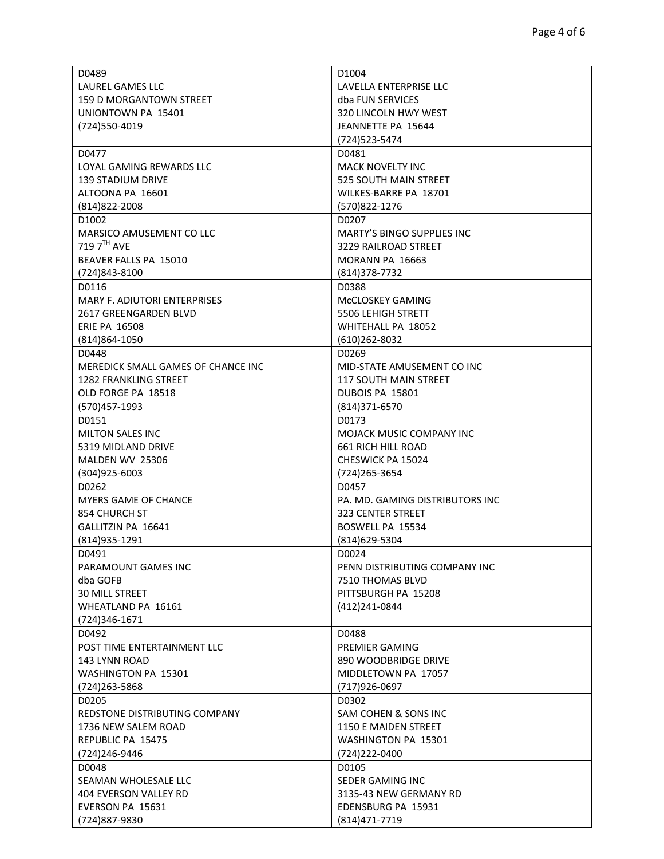| D0489                               | D <sub>1004</sub>                 |
|-------------------------------------|-----------------------------------|
| <b>LAUREL GAMES LLC</b>             | LAVELLA ENTERPRISE LLC            |
| <b>159 D MORGANTOWN STREET</b>      | dba FUN SERVICES                  |
| UNIONTOWN PA 15401                  | 320 LINCOLN HWY WEST              |
| (724) 550-4019                      | JEANNETTE PA 15644                |
|                                     | (724) 523 - 5474                  |
| D0477                               | D0481                             |
| LOYAL GAMING REWARDS LLC            | <b>MACK NOVELTY INC</b>           |
| 139 STADIUM DRIVE                   | 525 SOUTH MAIN STREET             |
| ALTOONA PA 16601                    | WILKES-BARRE PA 18701             |
| (814) 822-2008                      | (570)822-1276                     |
| D1002                               | D0207                             |
| MARSICO AMUSEMENT CO LLC            | <b>MARTY'S BINGO SUPPLIES INC</b> |
| 719 7 <sup>TH</sup> AVE             | 3229 RAILROAD STREET              |
| BEAVER FALLS PA 15010               | MORANN PA 16663                   |
| (724)843-8100                       | $(814)378-7732$                   |
| D0116                               | D0388                             |
| <b>MARY F. ADIUTORI ENTERPRISES</b> | McCLOSKEY GAMING                  |
| 2617 GREENGARDEN BLVD               | <b>5506 LEHIGH STRETT</b>         |
| <b>ERIE PA 16508</b>                | <b>WHITEHALL PA 18052</b>         |
| $(814)864 - 1050$                   | $(610)262 - 8032$                 |
| D0448                               | D0269                             |
| MEREDICK SMALL GAMES OF CHANCE INC  | MID-STATE AMUSEMENT CO INC        |
| 1282 FRANKLING STREET               | <b>117 SOUTH MAIN STREET</b>      |
| OLD FORGE PA 18518                  | DUBOIS PA 15801                   |
| (570)457-1993                       | $(814)371 - 6570$                 |
| D0151                               | D0173                             |
| <b>MILTON SALES INC</b>             | MOJACK MUSIC COMPANY INC          |
| 5319 MIDLAND DRIVE                  | <b>661 RICH HILL ROAD</b>         |
| MALDEN WV 25306                     | CHESWICK PA 15024                 |
| (304)925-6003                       | (724) 265-3654                    |
| D0262                               | D0457                             |
| <b>MYERS GAME OF CHANCE</b>         | PA. MD. GAMING DISTRIBUTORS INC   |
| 854 CHURCH ST                       | <b>323 CENTER STREET</b>          |
| GALLITZIN PA 16641                  | BOSWELL PA 15534                  |
| (814) 935 - 1291                    | (814) 629-5304                    |
| D0491                               | D0024                             |
| PARAMOUNT GAMES INC                 | PENN DISTRIBUTING COMPANY INC     |
| dba GOFB                            | 7510 THOMAS BLVD                  |
| <b>30 MILL STREET</b>               | PITTSBURGH PA 15208               |
| WHEATLAND PA 16161                  | (412)241-0844                     |
| (724)346-1671                       |                                   |
| D0492                               | D0488                             |
| POST TIME ENTERTAINMENT LLC         | PREMIER GAMING                    |
| 143 LYNN ROAD                       | 890 WOODBRIDGE DRIVE              |
| WASHINGTON PA 15301                 | MIDDLETOWN PA 17057               |
| (724) 263-5868                      | (717)926-0697                     |
| D0205                               | D0302                             |
| REDSTONE DISTRIBUTING COMPANY       | SAM COHEN & SONS INC              |
| 1736 NEW SALEM ROAD                 | 1150 E MAIDEN STREET              |
| REPUBLIC PA 15475                   | WASHINGTON PA 15301               |
| (724)246-9446                       | (724) 222-0400                    |
| D0048                               | D0105                             |
|                                     |                                   |
| SEAMAN WHOLESALE LLC                | SEDER GAMING INC                  |
| 404 EVERSON VALLEY RD               | 3135-43 NEW GERMANY RD            |
| EVERSON PA 15631                    | EDENSBURG PA 15931                |
| (724)887-9830                       | (814) 471 - 7719                  |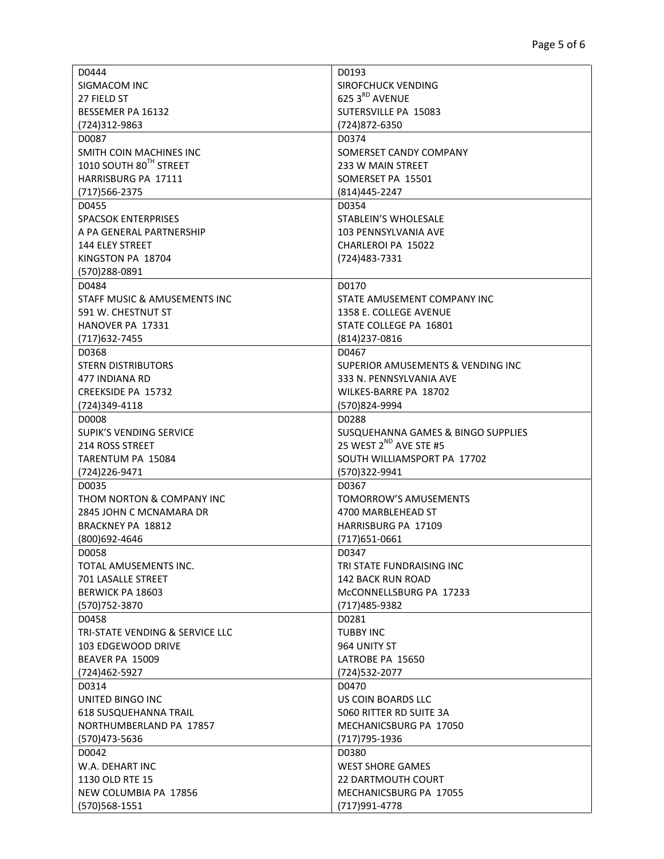| D0444                           | D0193                              |
|---------------------------------|------------------------------------|
| SIGMACOM INC                    | SIROFCHUCK VENDING                 |
| 27 FIELD ST                     | 625 3RD AVENUE                     |
| BESSEMER PA 16132               | SUTERSVILLE PA 15083               |
| (724)312-9863                   | (724) 872-6350                     |
| D0087                           | D0374                              |
| SMITH COIN MACHINES INC         | SOMERSET CANDY COMPANY             |
| 1010 SOUTH 80TH STREET          | 233 W MAIN STREET                  |
| HARRISBURG PA 17111             | SOMERSET PA 15501                  |
| (717) 566-2375                  | (814)445-2247                      |
| D0455                           | D0354                              |
| <b>SPACSOK ENTERPRISES</b>      | STABLEIN'S WHOLESALE               |
| A PA GENERAL PARTNERSHIP        | 103 PENNSYLVANIA AVE               |
| <b>144 ELEY STREET</b>          | CHARLEROI PA 15022                 |
| KINGSTON PA 18704               | (724) 483 - 7331                   |
| (570)288-0891                   |                                    |
| D0484                           | D0170                              |
| STAFF MUSIC & AMUSEMENTS INC    | STATE AMUSEMENT COMPANY INC        |
| 591 W. CHESTNUT ST              | 1358 E. COLLEGE AVENUE             |
| <b>HANOVER PA 17331</b>         | STATE COLLEGE PA 16801             |
| (717) 632-7455                  | (814) 237-0816                     |
| D0368                           | D0467                              |
| <b>STERN DISTRIBUTORS</b>       | SUPERIOR AMUSEMENTS & VENDING INC  |
| 477 INDIANA RD                  | 333 N. PENNSYLVANIA AVE            |
| CREEKSIDE PA 15732              | WILKES-BARRE PA 18702              |
| (724)349-4118                   | (570)824-9994                      |
| D0008                           | D0288                              |
| <b>SUPIK'S VENDING SERVICE</b>  | SUSQUEHANNA GAMES & BINGO SUPPLIES |
| 214 ROSS STREET                 | 25 WEST 2 <sup>ND</sup> AVE STE #5 |
| TARENTUM PA 15084               | SOUTH WILLIAMSPORT PA 17702        |
| (724) 226-9471                  | (570)322-9941                      |
| D0035                           | D0367                              |
| THOM NORTON & COMPANY INC       | TOMORROW'S AMUSEMENTS              |
| 2845 JOHN C MCNAMARA DR         | 4700 MARBLEHEAD ST                 |
| BRACKNEY PA 18812               | HARRISBURG PA 17109                |
| (800)692-4646                   | $(717)651-0661$                    |
| D0058                           | D0347                              |
| TOTAL AMUSEMENTS INC.           | TRI STATE FUNDRAISING INC          |
| 701 LASALLE STREET              | 142 BACK RUN ROAD                  |
| <b>BERWICK PA 18603</b>         | McCONNELLSBURG PA 17233            |
| (570) 752-3870                  | (717)485-9382                      |
| D0458                           | D0281                              |
| TRI-STATE VENDING & SERVICE LLC | <b>TUBBY INC</b>                   |
| 103 EDGEWOOD DRIVE              | 964 UNITY ST                       |
| BEAVER PA 15009                 | LATROBE PA 15650                   |
| (724)462-5927                   | (724) 532-2077                     |
| D0314                           | D0470                              |
| UNITED BINGO INC                | US COIN BOARDS LLC                 |
| <b>618 SUSQUEHANNA TRAIL</b>    | 5060 RITTER RD SUITE 3A            |
| NORTHUMBERLAND PA 17857         | MECHANICSBURG PA 17050             |
| (570)473-5636                   | (717) 795-1936                     |
| D0042                           | D0380                              |
| W.A. DEHART INC                 | <b>WEST SHORE GAMES</b>            |
| 1130 OLD RTE 15                 | <b>22 DARTMOUTH COURT</b>          |
| NEW COLUMBIA PA 17856           | MECHANICSBURG PA 17055             |
| (570) 568-1551                  | (717) 991-4778                     |